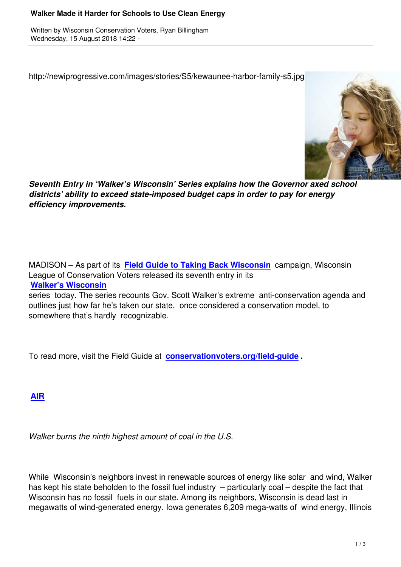http://newiprogressive.com/images/stories/S5/kewaunee-harbor-family-s5.jpg



*Seventh Entry in 'Walker's Wisconsin' Series explains how the Governor axed school districts' ability to exceed state-imposed budget caps in order to pay for energy efficiency improvements.*

MADISON – As part of its **Field Guide to Taking Back Wisconsin** campaign, Wisconsin League of Conservation Voters released its seventh entry in its **Walker's Wisconsin**

series today. The series r[ecounts Gov. Scott Walker's extreme anti](http://conservationvoters.org/field-guide)-conservation agenda and outlines just how far he's taken our state, once considered a conservation model, to [somewhere that's hard](http://conservationvoters.org/field-guide/walkers-wisconsin/)ly recognizable.

To read more, visit the Field Guide at **conservationvoters.org/field-guide .**

**AIR**

*[Walk](http://conservationvoters.org/field-guide/walkers-wisconsin/walkers-wisconsin-air/)er burns the ninth highest amount of coal in the U.S.*

While Wisconsin's neighbors invest in renewable sources of energy like solar and wind, Walker has kept his state beholden to the fossil fuel industry – particularly coal – despite the fact that Wisconsin has no fossil fuels in our state. Among its neighbors, Wisconsin is dead last in megawatts of wind-generated energy. Iowa generates 6,209 mega-watts of wind energy, Illinois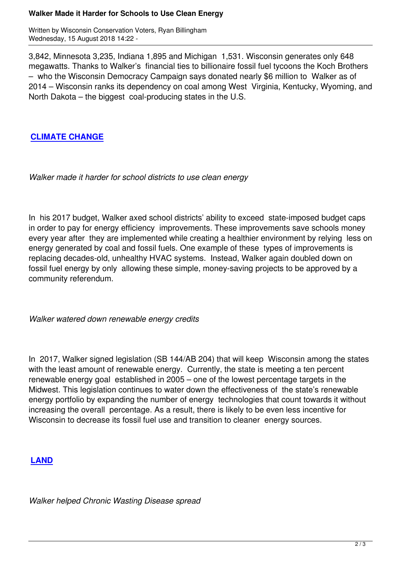Written by Wisconsin Conservation Voters, Ryan Billingham Wednesday, 15 August 2018 14:22 -

3,842, Minnesota 3,235, Indiana 1,895 and Michigan 1,531. Wisconsin generates only 648 megawatts. Thanks to Walker's financial ties to billionaire fossil fuel tycoons the Koch Brothers – who the Wisconsin Democracy Campaign says donated nearly \$6 million to Walker as of 2014 – Wisconsin ranks its dependency on coal among West Virginia, Kentucky, Wyoming, and North Dakota – the biggest coal-producing states in the U.S.

## **CLIMATE CHANGE**

*[Walker made it harde](http://out02.thedatabank.com/?r=MTAwMw0KSjM1NTU4OS1DMjczLU0yMTA4MTctODU2LW1lZGlhcmINCjM4MTU2MjczMTAzMzg2NTMwNjc1NDEyMTA4MTcxMDYNCmNmMDAwMDAwMmI1OWIxDQpodHRwOi8vY29uc2VydmF0aW9udm90ZXJzLm9yZy9maWVsZC1ndWlkZS93YWxrZXJzLXdpc2NvbnNpbi93YWxrZXJzLXdpc2NvbnNpbi1jbGltYXRlLWNoYW5nZS8%2fdXRtX3NvdXJjZT1SeWFuMDYxOTIwMTgmdXRtX21lZGl1bT1wb3dlcm1haWwmdXRtX2NhbXBhaWduPUNsaWNrQ2xpbWF0ZQ0KQ2xpY2tDbGltYXRlDQplZGl0b3JAbmV3aXByb2dyZXNzaXZlLmNvbQ%3d%3d)r for school districts to use clean energy*

In his 2017 budget, Walker axed school districts' ability to exceed state-imposed budget caps in order to pay for energy efficiency improvements. These improvements save schools money every year after they are implemented while creating a healthier environment by relying less on energy generated by coal and fossil fuels. One example of these types of improvements is replacing decades-old, unhealthy HVAC systems. Instead, Walker again doubled down on fossil fuel energy by only allowing these simple, money-saving projects to be approved by a community referendum.

*Walker watered down renewable energy credits*

In 2017, Walker signed legislation (SB 144/AB 204) that will keep Wisconsin among the states with the least amount of renewable energy. Currently, the state is meeting a ten percent renewable energy goal established in 2005 – one of the lowest percentage targets in the Midwest. This legislation continues to water down the effectiveness of the state's renewable energy portfolio by expanding the number of energy technologies that count towards it without increasing the overall percentage. As a result, there is likely to be even less incentive for Wisconsin to decrease its fossil fuel use and transition to cleaner energy sources.

## **LAND**

*[Walker](http://conservationvoters.org/field-guide/walkers-wisconsin/walkers-wisconsin-land/) helped Chronic Wasting Disease spread*